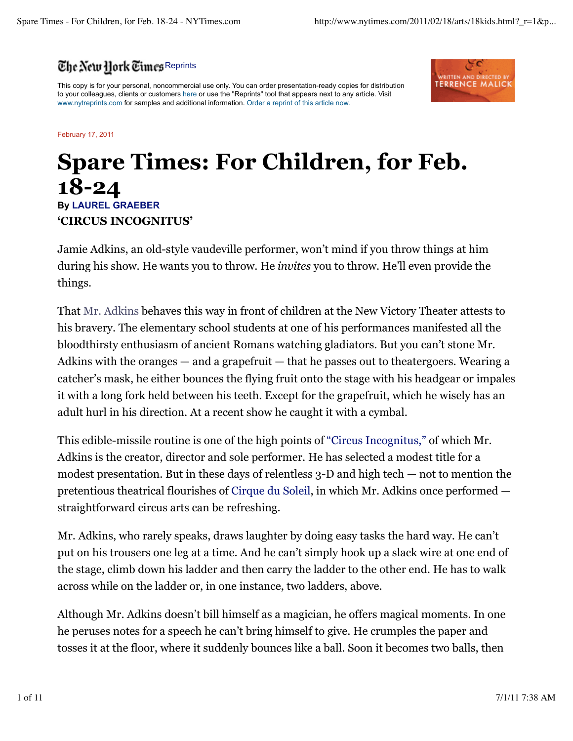

This copy is for your personal, noncommercial use only. You can order presentation-ready copies for distribution to your colleagues, clients or customers here or use the "Reprints" tool that appears next to any article. Visit www.nytreprints.com for samples and additional information. Order a reprint of this article now.



February 17, 2011

## **Spare Times: For Children, for Feb. 18-24 By LAUREL GRAEBER 'CIRCUS INCOGNITUS'**

Jamie Adkins, an old-style vaudeville performer, won't mind if you throw things at him during his show. He wants you to throw. He *invites* you to throw. He'll even provide the things.

That Mr. Adkins behaves this way in front of children at the New Victory Theater attests to his bravery. The elementary school students at one of his performances manifested all the bloodthirsty enthusiasm of ancient Romans watching gladiators. But you can't stone Mr. Adkins with the oranges — and a grapefruit — that he passes out to theatergoers. Wearing a catcher's mask, he either bounces the flying fruit onto the stage with his headgear or impales it with a long fork held between his teeth. Except for the grapefruit, which he wisely has an adult hurl in his direction. At a recent show he caught it with a cymbal.

This edible-missile routine is one of the high points of "Circus Incognitus," of which Mr. Adkins is the creator, director and sole performer. He has selected a modest title for a modest presentation. But in these days of relentless 3-D and high tech — not to mention the pretentious theatrical flourishes of Cirque du Soleil, in which Mr. Adkins once performed straightforward circus arts can be refreshing.

Mr. Adkins, who rarely speaks, draws laughter by doing easy tasks the hard way. He can't put on his trousers one leg at a time. And he can't simply hook up a slack wire at one end of the stage, climb down his ladder and then carry the ladder to the other end. He has to walk across while on the ladder or, in one instance, two ladders, above.

Although Mr. Adkins doesn't bill himself as a magician, he offers magical moments. In one he peruses notes for a speech he can't bring himself to give. He crumples the paper and tosses it at the floor, where it suddenly bounces like a ball. Soon it becomes two balls, then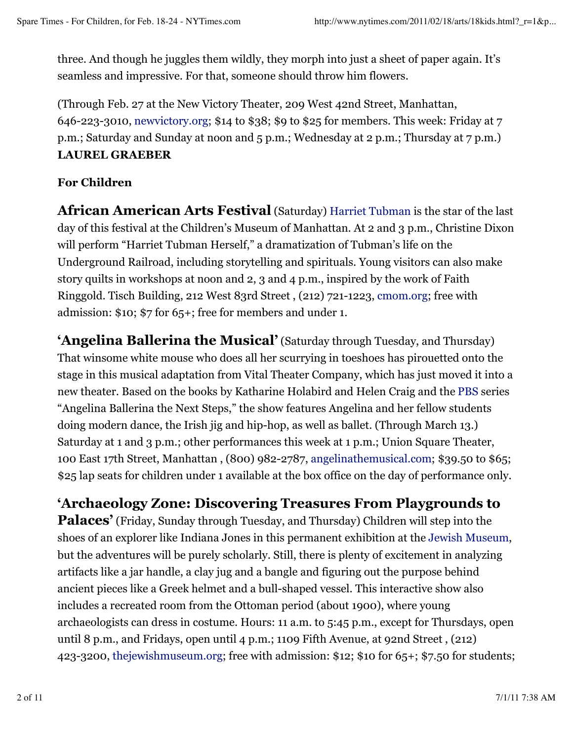three. And though he juggles them wildly, they morph into just a sheet of paper again. It's seamless and impressive. For that, someone should throw him flowers.

(Through Feb. 27 at the New Victory Theater, 209 West 42nd Street, Manhattan, 646-223-3010, newvictory.org; \$14 to \$38; \$9 to \$25 for members. This week: Friday at 7 p.m.; Saturday and Sunday at noon and 5 p.m.; Wednesday at 2 p.m.; Thursday at 7 p.m.) **LAUREL GRAEBER**

## **For Children**

**African American Arts Festival** (Saturday) Harriet Tubman is the star of the last day of this festival at the Children's Museum of Manhattan. At 2 and 3 p.m., Christine Dixon will perform "Harriet Tubman Herself," a dramatization of Tubman's life on the Underground Railroad, including storytelling and spirituals. Young visitors can also make story quilts in workshops at noon and 2, 3 and 4 p.m., inspired by the work of Faith Ringgold. Tisch Building, 212 West 83rd Street , (212) 721-1223, cmom.org; free with admission: \$10; \$7 for 65+; free for members and under 1.

**'Angelina Ballerina the Musical'** (Saturday through Tuesday, and Thursday) That winsome white mouse who does all her scurrying in toeshoes has pirouetted onto the stage in this musical adaptation from Vital Theater Company, which has just moved it into a new theater. Based on the books by Katharine Holabird and Helen Craig and the PBS series "Angelina Ballerina the Next Steps," the show features Angelina and her fellow students doing modern dance, the Irish jig and hip-hop, as well as ballet. (Through March 13.) Saturday at 1 and 3 p.m.; other performances this week at 1 p.m.; Union Square Theater, 100 East 17th Street, Manhattan , (800) 982-2787, angelinathemusical.com; \$39.50 to \$65; \$25 lap seats for children under 1 available at the box office on the day of performance only.

**'Archaeology Zone: Discovering Treasures From Playgrounds to Palaces'** (Friday, Sunday through Tuesday, and Thursday) Children will step into the shoes of an explorer like Indiana Jones in this permanent exhibition at the Jewish Museum, but the adventures will be purely scholarly. Still, there is plenty of excitement in analyzing artifacts like a jar handle, a clay jug and a bangle and figuring out the purpose behind ancient pieces like a Greek helmet and a bull-shaped vessel. This interactive show also includes a recreated room from the Ottoman period (about 1900), where young archaeologists can dress in costume. Hours: 11 a.m. to 5:45 p.m., except for Thursdays, open until 8 p.m., and Fridays, open until 4 p.m.; 1109 Fifth Avenue, at 92nd Street , (212) 423-3200, thejewishmuseum.org; free with admission: \$12; \$10 for 65+; \$7.50 for students;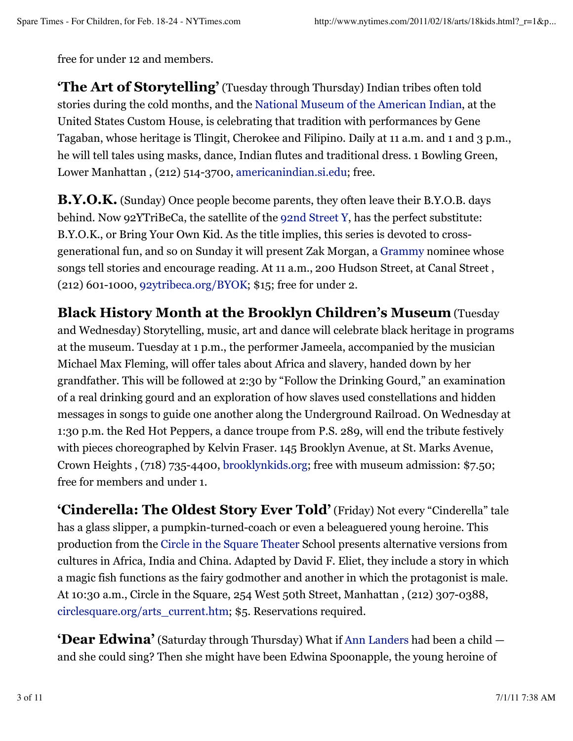free for under 12 and members.

**'The Art of Storytelling'** (Tuesday through Thursday) Indian tribes often told stories during the cold months, and the National Museum of the American Indian, at the United States Custom House, is celebrating that tradition with performances by Gene Tagaban, whose heritage is Tlingit, Cherokee and Filipino. Daily at 11 a.m. and 1 and 3 p.m., he will tell tales using masks, dance, Indian flutes and traditional dress. 1 Bowling Green, Lower Manhattan , (212) 514-3700, americanindian.si.edu; free.

**B.Y.O.K.** (Sunday) Once people become parents, they often leave their B.Y.O.B. days behind. Now 92YTriBeCa, the satellite of the 92nd Street Y, has the perfect substitute: B.Y.O.K., or Bring Your Own Kid. As the title implies, this series is devoted to crossgenerational fun, and so on Sunday it will present Zak Morgan, a Grammy nominee whose songs tell stories and encourage reading. At 11 a.m., 200 Hudson Street, at Canal Street , (212) 601-1000, 92ytribeca.org/BYOK; \$15; free for under 2.

**Black History Month at the Brooklyn Children's Museum** (Tuesday and Wednesday) Storytelling, music, art and dance will celebrate black heritage in programs at the museum. Tuesday at 1 p.m., the performer Jameela, accompanied by the musician Michael Max Fleming, will offer tales about Africa and slavery, handed down by her grandfather. This will be followed at 2:30 by "Follow the Drinking Gourd," an examination of a real drinking gourd and an exploration of how slaves used constellations and hidden messages in songs to guide one another along the Underground Railroad. On Wednesday at 1:30 p.m. the Red Hot Peppers, a dance troupe from P.S. 289, will end the tribute festively with pieces choreographed by Kelvin Fraser. 145 Brooklyn Avenue, at St. Marks Avenue, Crown Heights , (718) 735-4400, brooklynkids.org; free with museum admission: \$7.50; free for members and under 1.

**'Cinderella: The Oldest Story Ever Told'** (Friday) Not every "Cinderella" tale has a glass slipper, a pumpkin-turned-coach or even a beleaguered young heroine. This production from the Circle in the Square Theater School presents alternative versions from cultures in Africa, India and China. Adapted by David F. Eliet, they include a story in which a magic fish functions as the fairy godmother and another in which the protagonist is male. At 10:30 a.m., Circle in the Square, 254 West 50th Street, Manhattan , (212) 307-0388, circlesquare.org/arts\_current.htm; \$5. Reservations required.

**'Dear Edwina'** (Saturday through Thursday) What if Ann Landers had been a child and she could sing? Then she might have been Edwina Spoonapple, the young heroine of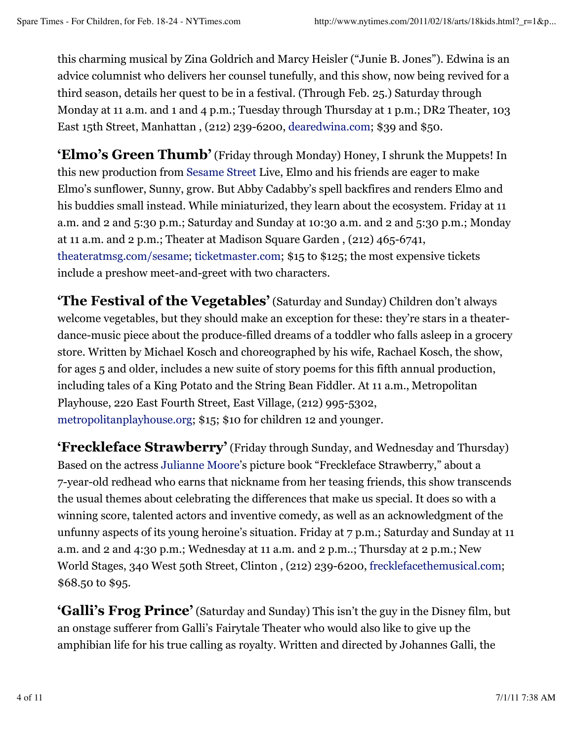this charming musical by Zina Goldrich and Marcy Heisler ("Junie B. Jones"). Edwina is an advice columnist who delivers her counsel tunefully, and this show, now being revived for a third season, details her quest to be in a festival. (Through Feb. 25.) Saturday through Monday at 11 a.m. and 1 and 4 p.m.; Tuesday through Thursday at 1 p.m.; DR2 Theater, 103 East 15th Street, Manhattan , (212) 239-6200, dearedwina.com; \$39 and \$50.

**'Elmo's Green Thumb'** (Friday through Monday) Honey, I shrunk the Muppets! In this new production from Sesame Street Live, Elmo and his friends are eager to make Elmo's sunflower, Sunny, grow. But Abby Cadabby's spell backfires and renders Elmo and his buddies small instead. While miniaturized, they learn about the ecosystem. Friday at 11 a.m. and 2 and 5:30 p.m.; Saturday and Sunday at 10:30 a.m. and 2 and 5:30 p.m.; Monday at 11 a.m. and 2 p.m.; Theater at Madison Square Garden , (212) 465-6741, theateratmsg.com/sesame; ticketmaster.com; \$15 to \$125; the most expensive tickets include a preshow meet-and-greet with two characters.

**'The Festival of the Vegetables'** (Saturday and Sunday) Children don't always welcome vegetables, but they should make an exception for these: they're stars in a theaterdance-music piece about the produce-filled dreams of a toddler who falls asleep in a grocery store. Written by Michael Kosch and choreographed by his wife, Rachael Kosch, the show, for ages 5 and older, includes a new suite of story poems for this fifth annual production, including tales of a King Potato and the String Bean Fiddler. At 11 a.m., Metropolitan Playhouse, 220 East Fourth Street, East Village, (212) 995-5302, metropolitanplayhouse.org; \$15; \$10 for children 12 and younger.

**'Freckleface Strawberry'** (Friday through Sunday, and Wednesday and Thursday) Based on the actress Julianne Moore's picture book "Freckleface Strawberry," about a 7-year-old redhead who earns that nickname from her teasing friends, this show transcends the usual themes about celebrating the differences that make us special. It does so with a winning score, talented actors and inventive comedy, as well as an acknowledgment of the unfunny aspects of its young heroine's situation. Friday at 7 p.m.; Saturday and Sunday at 11 a.m. and 2 and 4:30 p.m.; Wednesday at 11 a.m. and 2 p.m..; Thursday at 2 p.m.; New World Stages, 340 West 50th Street, Clinton , (212) 239-6200, frecklefacethemusical.com; \$68.50 to \$95.

**'Galli's Frog Prince'** (Saturday and Sunday) This isn't the guy in the Disney film, but an onstage sufferer from Galli's Fairytale Theater who would also like to give up the amphibian life for his true calling as royalty. Written and directed by Johannes Galli, the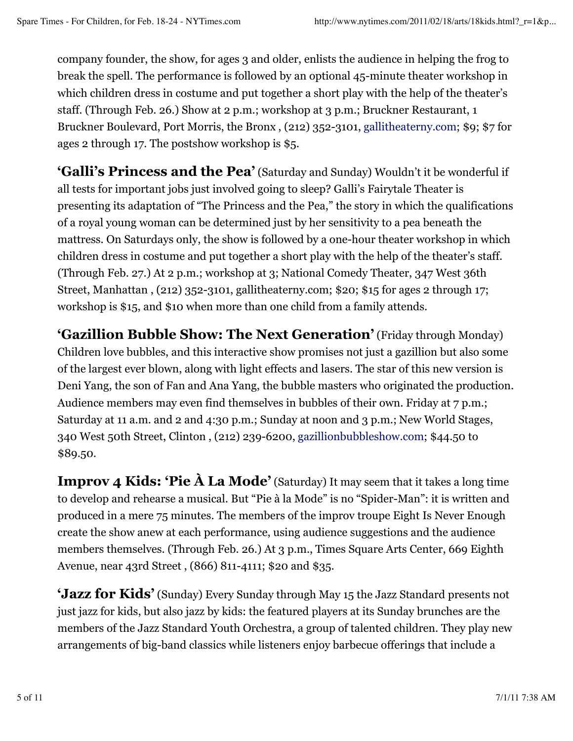company founder, the show, for ages 3 and older, enlists the audience in helping the frog to break the spell. The performance is followed by an optional 45-minute theater workshop in which children dress in costume and put together a short play with the help of the theater's staff. (Through Feb. 26.) Show at 2 p.m.; workshop at 3 p.m.; Bruckner Restaurant, 1 Bruckner Boulevard, Port Morris, the Bronx , (212) 352-3101, gallitheaterny.com; \$9; \$7 for ages 2 through 17. The postshow workshop is \$5.

**'Galli's Princess and the Pea'** (Saturday and Sunday) Wouldn't it be wonderful if all tests for important jobs just involved going to sleep? Galli's Fairytale Theater is presenting its adaptation of "The Princess and the Pea," the story in which the qualifications of a royal young woman can be determined just by her sensitivity to a pea beneath the mattress. On Saturdays only, the show is followed by a one-hour theater workshop in which children dress in costume and put together a short play with the help of the theater's staff. (Through Feb. 27.) At 2 p.m.; workshop at 3; National Comedy Theater, 347 West 36th Street, Manhattan , (212) 352-3101, gallitheaterny.com; \$20; \$15 for ages 2 through 17; workshop is \$15, and \$10 when more than one child from a family attends.

**'Gazillion Bubble Show: The Next Generation'** (Friday through Monday) Children love bubbles, and this interactive show promises not just a gazillion but also some of the largest ever blown, along with light effects and lasers. The star of this new version is Deni Yang, the son of Fan and Ana Yang, the bubble masters who originated the production. Audience members may even find themselves in bubbles of their own. Friday at 7 p.m.; Saturday at 11 a.m. and 2 and 4:30 p.m.; Sunday at noon and 3 p.m.; New World Stages, 340 West 50th Street, Clinton , (212) 239-6200, gazillionbubbleshow.com; \$44.50 to \$89.50.

**Improv 4 Kids: 'Pie À La Mode'** (Saturday) It may seem that it takes a long time to develop and rehearse a musical. But "Pie à la Mode" is no "Spider-Man": it is written and produced in a mere 75 minutes. The members of the improv troupe Eight Is Never Enough create the show anew at each performance, using audience suggestions and the audience members themselves. (Through Feb. 26.) At 3 p.m., Times Square Arts Center, 669 Eighth Avenue, near 43rd Street , (866) 811-4111; \$20 and \$35.

**'Jazz for Kids'** (Sunday) Every Sunday through May 15 the Jazz Standard presents not just jazz for kids, but also jazz by kids: the featured players at its Sunday brunches are the members of the Jazz Standard Youth Orchestra, a group of talented children. They play new arrangements of big-band classics while listeners enjoy barbecue offerings that include a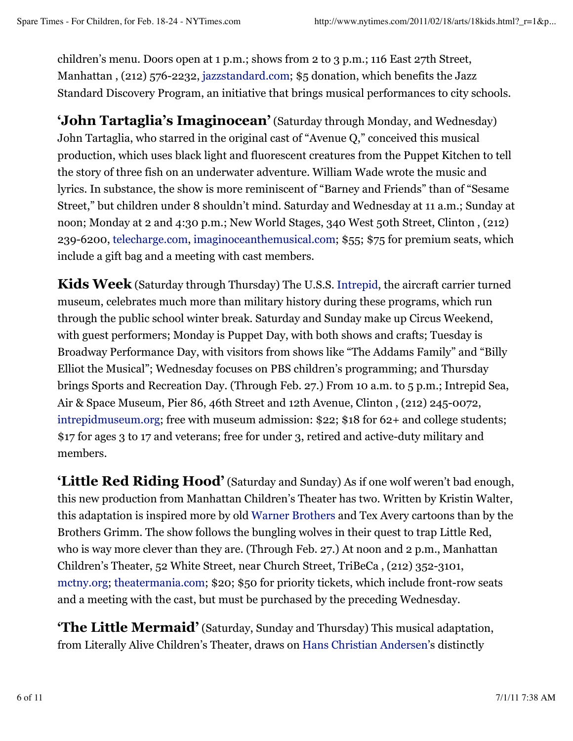children's menu. Doors open at 1 p.m.; shows from 2 to 3 p.m.; 116 East 27th Street, Manhattan , (212) 576-2232, jazzstandard.com; \$5 donation, which benefits the Jazz Standard Discovery Program, an initiative that brings musical performances to city schools.

**'John Tartaglia's Imaginocean'** (Saturday through Monday, and Wednesday) John Tartaglia, who starred in the original cast of "Avenue Q," conceived this musical production, which uses black light and fluorescent creatures from the Puppet Kitchen to tell the story of three fish on an underwater adventure. William Wade wrote the music and lyrics. In substance, the show is more reminiscent of "Barney and Friends" than of "Sesame Street," but children under 8 shouldn't mind. Saturday and Wednesday at 11 a.m.; Sunday at noon; Monday at 2 and 4:30 p.m.; New World Stages, 340 West 50th Street, Clinton , (212) 239-6200, telecharge.com, imaginoceanthemusical.com; \$55; \$75 for premium seats, which include a gift bag and a meeting with cast members.

**Kids Week** (Saturday through Thursday) The U.S.S. Intrepid, the aircraft carrier turned museum, celebrates much more than military history during these programs, which run through the public school winter break. Saturday and Sunday make up Circus Weekend, with guest performers; Monday is Puppet Day, with both shows and crafts; Tuesday is Broadway Performance Day, with visitors from shows like "The Addams Family" and "Billy Elliot the Musical"; Wednesday focuses on PBS children's programming; and Thursday brings Sports and Recreation Day. (Through Feb. 27.) From 10 a.m. to 5 p.m.; Intrepid Sea, Air & Space Museum, Pier 86, 46th Street and 12th Avenue, Clinton , (212) 245-0072, intrepidmuseum.org; free with museum admission: \$22; \$18 for 62+ and college students; \$17 for ages 3 to 17 and veterans; free for under 3, retired and active-duty military and members.

**'Little Red Riding Hood'** (Saturday and Sunday) As if one wolf weren't bad enough, this new production from Manhattan Children's Theater has two. Written by Kristin Walter, this adaptation is inspired more by old Warner Brothers and Tex Avery cartoons than by the Brothers Grimm. The show follows the bungling wolves in their quest to trap Little Red, who is way more clever than they are. (Through Feb. 27.) At noon and 2 p.m., Manhattan Children's Theater, 52 White Street, near Church Street, TriBeCa , (212) 352-3101, mctny.org; theatermania.com; \$20; \$50 for priority tickets, which include front-row seats and a meeting with the cast, but must be purchased by the preceding Wednesday.

**'The Little Mermaid'** (Saturday, Sunday and Thursday) This musical adaptation, from Literally Alive Children's Theater, draws on Hans Christian Andersen's distinctly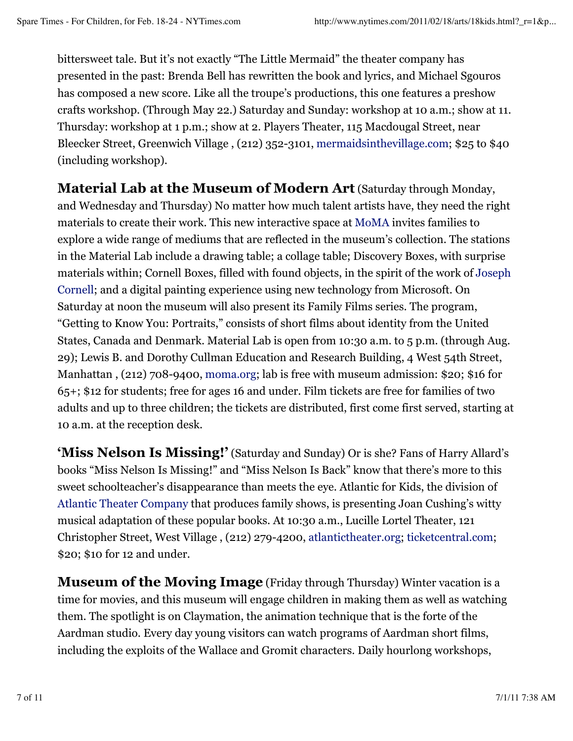bittersweet tale. But it's not exactly "The Little Mermaid" the theater company has presented in the past: Brenda Bell has rewritten the book and lyrics, and Michael Sgouros has composed a new score. Like all the troupe's productions, this one features a preshow crafts workshop. (Through May 22.) Saturday and Sunday: workshop at 10 a.m.; show at 11. Thursday: workshop at 1 p.m.; show at 2. Players Theater, 115 Macdougal Street, near Bleecker Street, Greenwich Village , (212) 352-3101, mermaidsinthevillage.com; \$25 to \$40 (including workshop).

**Material Lab at the Museum of Modern Art**(Saturday through Monday, and Wednesday and Thursday) No matter how much talent artists have, they need the right materials to create their work. This new interactive space at MoMA invites families to explore a wide range of mediums that are reflected in the museum's collection. The stations in the Material Lab include a drawing table; a collage table; Discovery Boxes, with surprise materials within; Cornell Boxes, filled with found objects, in the spirit of the work of Joseph Cornell; and a digital painting experience using new technology from Microsoft. On Saturday at noon the museum will also present its Family Films series. The program, "Getting to Know You: Portraits," consists of short films about identity from the United States, Canada and Denmark. Material Lab is open from 10:30 a.m. to 5 p.m. (through Aug. 29); Lewis B. and Dorothy Cullman Education and Research Building, 4 West 54th Street, Manhattan , (212) 708-9400, moma.org; lab is free with museum admission: \$20; \$16 for 65+; \$12 for students; free for ages 16 and under. Film tickets are free for families of two adults and up to three children; the tickets are distributed, first come first served, starting at 10 a.m. at the reception desk.

**'Miss Nelson Is Missing!'** (Saturday and Sunday) Or is she? Fans of Harry Allard's books "Miss Nelson Is Missing!" and "Miss Nelson Is Back" know that there's more to this sweet schoolteacher's disappearance than meets the eye. Atlantic for Kids, the division of Atlantic Theater Company that produces family shows, is presenting Joan Cushing's witty musical adaptation of these popular books. At 10:30 a.m., Lucille Lortel Theater, 121 Christopher Street, West Village , (212) 279-4200, atlantictheater.org; ticketcentral.com; \$20; \$10 for 12 and under.

**Museum of the Moving Image** (Friday through Thursday) Winter vacation is a time for movies, and this museum will engage children in making them as well as watching them. The spotlight is on Claymation, the animation technique that is the forte of the Aardman studio. Every day young visitors can watch programs of Aardman short films, including the exploits of the Wallace and Gromit characters. Daily hourlong workshops,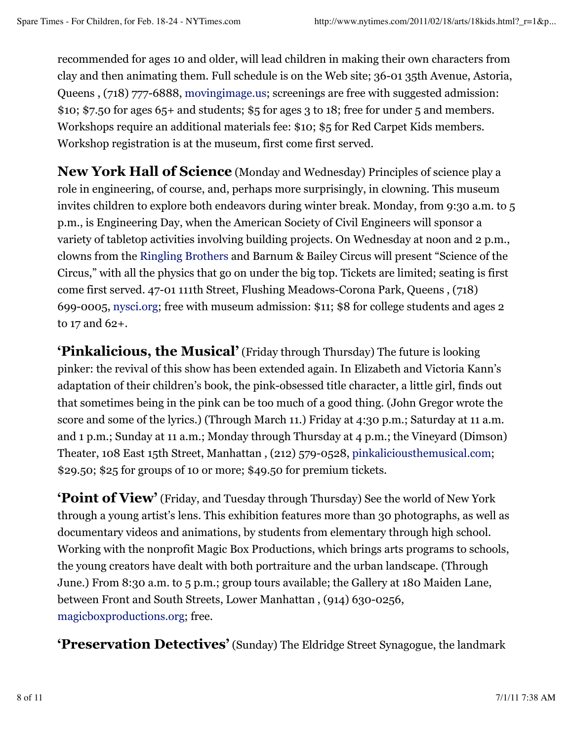recommended for ages 10 and older, will lead children in making their own characters from clay and then animating them. Full schedule is on the Web site; 36-01 35th Avenue, Astoria, Queens , (718) 777-6888, movingimage.us; screenings are free with suggested admission: \$10; \$7.50 for ages 65+ and students; \$5 for ages 3 to 18; free for under 5 and members. Workshops require an additional materials fee: \$10; \$5 for Red Carpet Kids members. Workshop registration is at the museum, first come first served.

**New York Hall of Science** (Monday and Wednesday) Principles of science play a role in engineering, of course, and, perhaps more surprisingly, in clowning. This museum invites children to explore both endeavors during winter break. Monday, from 9:30 a.m. to 5 p.m., is Engineering Day, when the American Society of Civil Engineers will sponsor a variety of tabletop activities involving building projects. On Wednesday at noon and 2 p.m., clowns from the Ringling Brothers and Barnum & Bailey Circus will present "Science of the Circus," with all the physics that go on under the big top. Tickets are limited; seating is first come first served. 47-01 111th Street, Flushing Meadows-Corona Park, Queens , (718) 699-0005, nysci.org; free with museum admission: \$11; \$8 for college students and ages 2 to 17 and 62+.

**'Pinkalicious, the Musical'** (Friday through Thursday) The future is looking pinker: the revival of this show has been extended again. In Elizabeth and Victoria Kann's adaptation of their children's book, the pink-obsessed title character, a little girl, finds out that sometimes being in the pink can be too much of a good thing. (John Gregor wrote the score and some of the lyrics.) (Through March 11.) Friday at 4:30 p.m.; Saturday at 11 a.m. and 1 p.m.; Sunday at 11 a.m.; Monday through Thursday at 4 p.m.; the Vineyard (Dimson) Theater, 108 East 15th Street, Manhattan , (212) 579-0528, pinkaliciousthemusical.com; \$29.50; \$25 for groups of 10 or more; \$49.50 for premium tickets.

**'Point of View'** (Friday, and Tuesday through Thursday) See the world of New York through a young artist's lens. This exhibition features more than 30 photographs, as well as documentary videos and animations, by students from elementary through high school. Working with the nonprofit Magic Box Productions, which brings arts programs to schools, the young creators have dealt with both portraiture and the urban landscape. (Through June.) From 8:30 a.m. to 5 p.m.; group tours available; the Gallery at 180 Maiden Lane, between Front and South Streets, Lower Manhattan , (914) 630-0256, magicboxproductions.org; free.

**'Preservation Detectives'** (Sunday) The Eldridge Street Synagogue, the landmark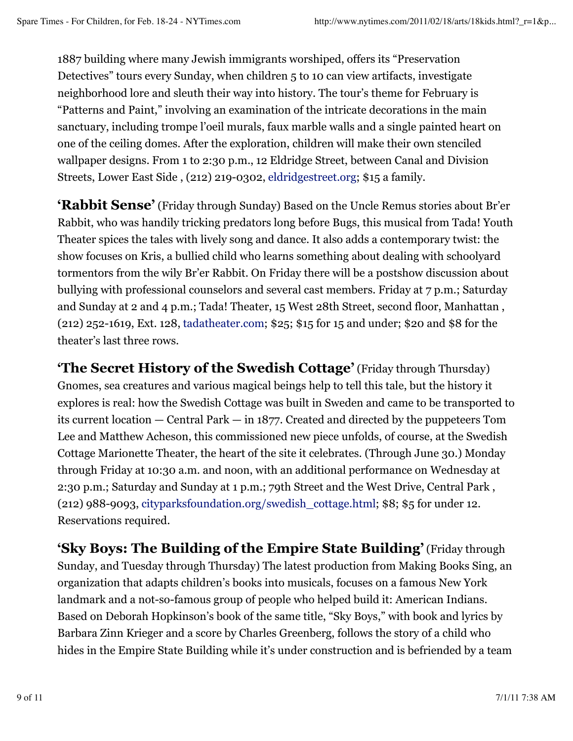1887 building where many Jewish immigrants worshiped, offers its "Preservation Detectives" tours every Sunday, when children 5 to 10 can view artifacts, investigate neighborhood lore and sleuth their way into history. The tour's theme for February is "Patterns and Paint," involving an examination of the intricate decorations in the main sanctuary, including trompe l'oeil murals, faux marble walls and a single painted heart on one of the ceiling domes. After the exploration, children will make their own stenciled wallpaper designs. From 1 to 2:30 p.m., 12 Eldridge Street, between Canal and Division Streets, Lower East Side , (212) 219-0302, eldridgestreet.org; \$15 a family.

**'Rabbit Sense'** (Friday through Sunday) Based on the Uncle Remus stories about Br'er Rabbit, who was handily tricking predators long before Bugs, this musical from Tada! Youth Theater spices the tales with lively song and dance. It also adds a contemporary twist: the show focuses on Kris, a bullied child who learns something about dealing with schoolyard tormentors from the wily Br'er Rabbit. On Friday there will be a postshow discussion about bullying with professional counselors and several cast members. Friday at 7 p.m.; Saturday and Sunday at 2 and 4 p.m.; Tada! Theater, 15 West 28th Street, second floor, Manhattan , (212) 252-1619, Ext. 128, tadatheater.com; \$25; \$15 for 15 and under; \$20 and \$8 for the theater's last three rows.

**'The Secret History of the Swedish Cottage'** (Friday through Thursday) Gnomes, sea creatures and various magical beings help to tell this tale, but the history it explores is real: how the Swedish Cottage was built in Sweden and came to be transported to its current location — Central Park — in 1877. Created and directed by the puppeteers Tom Lee and Matthew Acheson, this commissioned new piece unfolds, of course, at the Swedish Cottage Marionette Theater, the heart of the site it celebrates. (Through June 30.) Monday through Friday at 10:30 a.m. and noon, with an additional performance on Wednesday at 2:30 p.m.; Saturday and Sunday at 1 p.m.; 79th Street and the West Drive, Central Park , (212) 988-9093, cityparksfoundation.org/swedish\_cottage.html; \$8; \$5 for under 12. Reservations required.

**'Sky Boys: The Building of the Empire State Building'** (Friday through Sunday, and Tuesday through Thursday) The latest production from Making Books Sing, an organization that adapts children's books into musicals, focuses on a famous New York landmark and a not-so-famous group of people who helped build it: American Indians. Based on Deborah Hopkinson's book of the same title, "Sky Boys," with book and lyrics by Barbara Zinn Krieger and a score by Charles Greenberg, follows the story of a child who hides in the Empire State Building while it's under construction and is befriended by a team